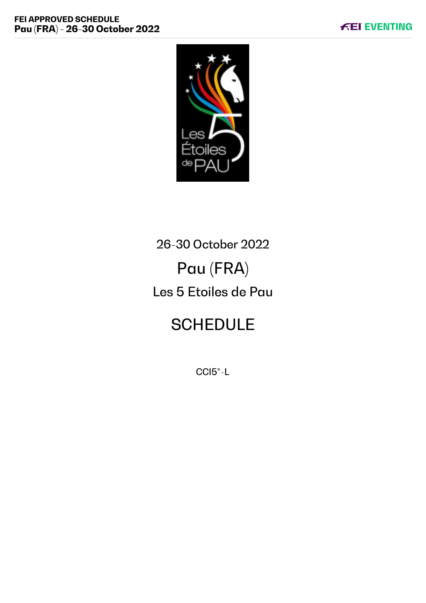

# 26-30 October 2022 Pau (FRA) Les 5 Etoiles de Pau

# **SCHEDULE**

CCI5\*-L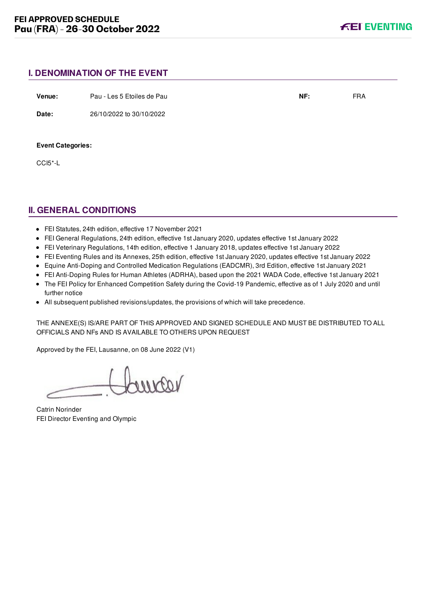# **I. DENOMINATION OF THE EVENT**

| Venue:                   | Pau - Les 5 Etoiles de Pau | NF: | <b>FRA</b> |
|--------------------------|----------------------------|-----|------------|
| Date:                    | 26/10/2022 to 30/10/2022   |     |            |
|                          |                            |     |            |
| <b>Event Categories:</b> |                            |     |            |
| CCI5*-L                  |                            |     |            |

# **II. GENERAL CONDITIONS**

- FEI Statutes, 24th edition, effective 17 November 2021
- FEI General Regulations, 24th edition, effective 1st January 2020, updates effective 1st January 2022
- FEI Veterinary Regulations, 14th edition, effective 1 January 2018, updates effective 1st January 2022
- FEI Eventing Rules and its Annexes, 25th edition, effective 1st January 2020, updates effective 1st January 2022
- Equine Anti-Doping and Controlled Medication Regulations (EADCMR), 3rd Edition, effective 1st January 2021
- FEI Anti-Doping Rules for Human Athletes (ADRHA), based upon the 2021 WADA Code, effective 1st January 2021
- The FEI Policy for Enhanced Competition Safety during the Covid-19 Pandemic, effective as of 1 July 2020 and until further notice
- All subsequent published revisions/updates, the provisions of which will take precedence.

THE ANNEXE(S) IS/ARE PART OF THIS APPROVED AND SIGNED SCHEDULE AND MUST BE DISTRIBUTED TO ALL OFFICIALS AND NFs AND IS AVAILABLE TO OTHERS UPON REQUEST

Approved by the FEI, Lausanne, on 08 June 2022 (V1)

voorno

Catrin Norinder FEI Director Eventing and Olympic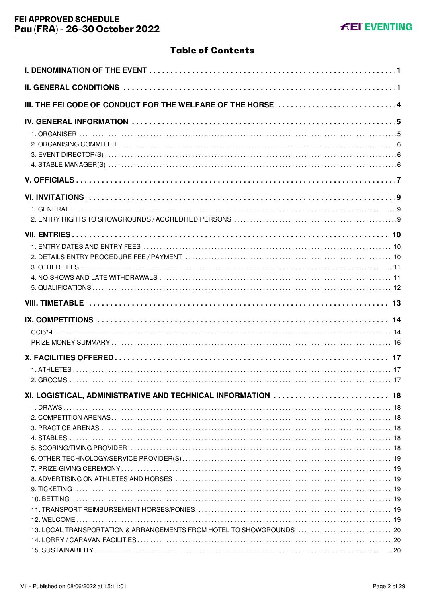# **Table of Contents**

| III. THE FEI CODE OF CONDUCT FOR THE WELFARE OF THE HORSE  4          |  |
|-----------------------------------------------------------------------|--|
|                                                                       |  |
|                                                                       |  |
|                                                                       |  |
|                                                                       |  |
|                                                                       |  |
|                                                                       |  |
|                                                                       |  |
|                                                                       |  |
|                                                                       |  |
|                                                                       |  |
|                                                                       |  |
|                                                                       |  |
|                                                                       |  |
|                                                                       |  |
|                                                                       |  |
|                                                                       |  |
|                                                                       |  |
|                                                                       |  |
|                                                                       |  |
|                                                                       |  |
|                                                                       |  |
|                                                                       |  |
|                                                                       |  |
|                                                                       |  |
|                                                                       |  |
| XI. LOGISTICAL, ADMINISTRATIVE AND TECHNICAL INFORMATION  18          |  |
|                                                                       |  |
|                                                                       |  |
|                                                                       |  |
|                                                                       |  |
|                                                                       |  |
|                                                                       |  |
|                                                                       |  |
|                                                                       |  |
|                                                                       |  |
|                                                                       |  |
|                                                                       |  |
| 13. LOCAL TRANSPORTATION & ARRANGEMENTS FROM HOTEL TO SHOWGROUNDS  20 |  |
|                                                                       |  |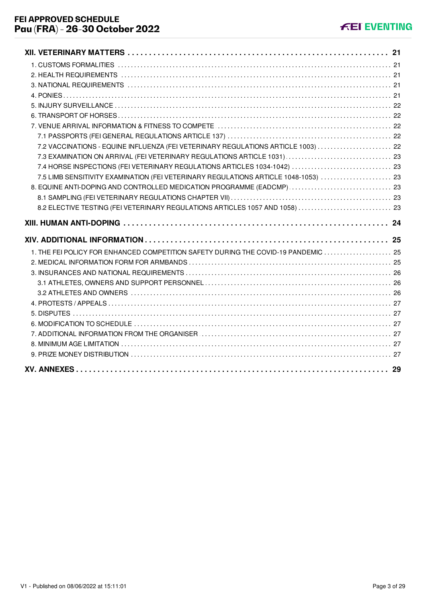| 7.2 VACCINATIONS - EQUINE INFLUENZA (FEI VETERINARY REGULATIONS ARTICLE 1003)  22   |  |
|-------------------------------------------------------------------------------------|--|
| 7.3 EXAMINATION ON ARRIVAL (FEI VETERINARY REGULATIONS ARTICLE 1031)  23            |  |
|                                                                                     |  |
| 7.5 LIMB SENSITIVITY EXAMINATION (FEI VETERINARY REGULATIONS ARTICLE 1048-1053)  23 |  |
| 8. EQUINE ANTI-DOPING AND CONTROLLED MEDICATION PROGRAMME (EADCMP)  23              |  |
|                                                                                     |  |
| 8.2 ELECTIVE TESTING (FEI VETERINARY REGULATIONS ARTICLES 1057 AND 1058)  23        |  |
|                                                                                     |  |
|                                                                                     |  |
|                                                                                     |  |
| 1. THE FEI POLICY FOR ENHANCED COMPETITION SAFETY DURING THE COVID-19 PANDEMIC  25  |  |
|                                                                                     |  |
|                                                                                     |  |
|                                                                                     |  |
|                                                                                     |  |
|                                                                                     |  |
|                                                                                     |  |
|                                                                                     |  |
|                                                                                     |  |
|                                                                                     |  |
|                                                                                     |  |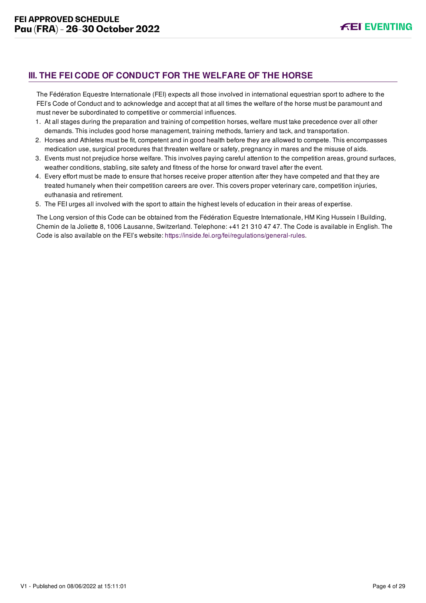# <span id="page-4-0"></span>**III. THE FEI CODE OF CONDUCT FOR THE WELFARE OF THE HORSE**

The Fédération Equestre Internationale (FEI) expects all those involved in international equestrian sport to adhere to the FEI's Code of Conduct and to acknowledge and accept that at all times the welfare of the horse must be paramount and must never be subordinated to competitive or commercial influences.

- 1. At all stages during the preparation and training of competition horses, welfare must take precedence over all other demands. This includes good horse management, training methods, farriery and tack, and transportation.
- 2. Horses and Athletes must be fit, competent and in good health before they are allowed to compete. This encompasses medication use, surgical procedures that threaten welfare or safety, pregnancy in mares and the misuse of aids.
- 3. Events must not prejudice horse welfare. This involves paying careful attention to the competition areas, ground surfaces, weather conditions, stabling, site safety and fitness of the horse for onward travel after the event.
- 4. Every effort must be made to ensure that horses receive proper attention after they have competed and that they are treated humanely when their competition careers are over. This covers proper veterinary care, competition injuries, euthanasia and retirement.
- 5. The FEI urges all involved with the sport to attain the highest levels of education in their areas of expertise.

The Long version of this Code can be obtained from the Fédération Equestre Internationale, HM King Hussein I Building, Chemin de la Joliette 8, 1006 Lausanne, Switzerland. Telephone: +41 21 310 47 47. The Code is available in English. The Code is also available on the FEI's website:<https://inside.fei.org/fei/regulations/general-rules>.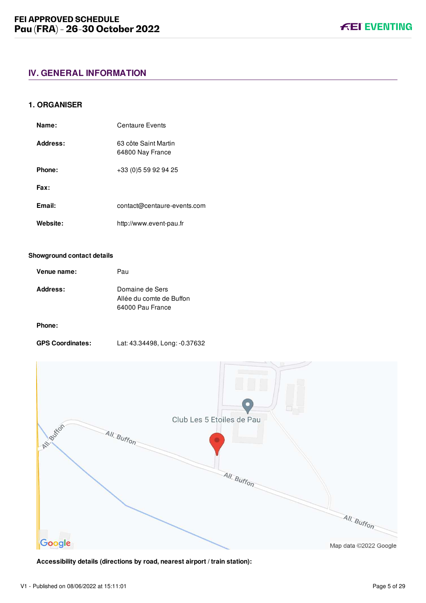## <span id="page-5-1"></span><span id="page-5-0"></span>**1. ORGANISER**

| Name:    | Centaure Events                          |
|----------|------------------------------------------|
| Address: | 63 côte Saint Martin<br>64800 Nay France |
| Phone:   | +33 (0) 5 59 92 94 25                    |
| Fax:     |                                          |
| Email:   | contact@centaure-events.com              |
| Website: | http://www.event-pau.fr                  |

#### **Showground contact details**

| Venue name:     | Pau                                                             |
|-----------------|-----------------------------------------------------------------|
| <b>Address:</b> | Domaine de Sers<br>Allée du comte de Buffon<br>64000 Pau France |

## **Phone:**

**GPS Coordinates:** Lat: 43.34498, Long: -0.37632



**Accessibility details (directions by road, nearest airport / train station):**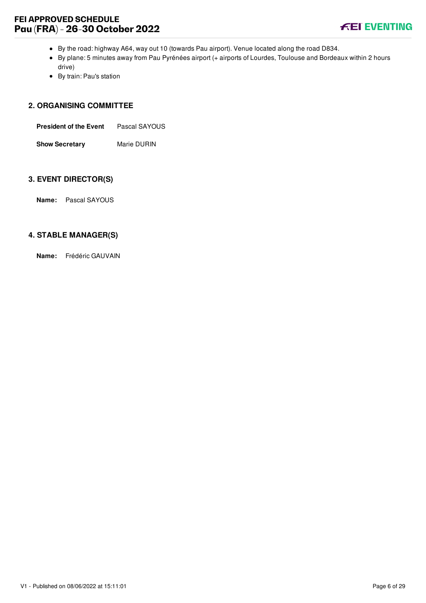# **FEI APPROVED SCHEDULE Pau (FRA) - 26-30 October 2022**



- By the road: highway A64, way out 10 (towards Pau airport). Venue located along the road D834.
- By plane: 5 minutes away from Pau Pyrénées airport (+ airports of Lourdes, Toulouse and Bordeaux within 2 hours drive)
- By train: Pau's station

#### <span id="page-6-0"></span>**2. ORGANISING COMMITTEE**

| <b>President of the Event</b> | Pascal SAYOUS |
|-------------------------------|---------------|
| <b>Show Secretary</b>         | Marie DURIN   |

#### <span id="page-6-1"></span>**3. EVENT DIRECTOR(S)**

**Name:** Pascal SAYOUS

## <span id="page-6-2"></span>**4. STABLE MANAGER(S)**

**Name:** Frédéric GAUVAIN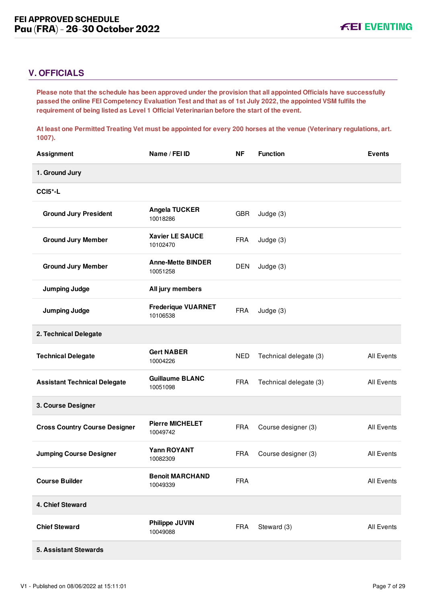# <span id="page-7-0"></span>**V. OFFICIALS**

**Please note that the schedule has been approved under the provision that all appointed Officials have successfully passed the online FEI Competency Evaluation Test and that as of 1st July 2022, the appointed VSM fulfils the requirement of being listed as Level 1 Official Veterinarian before the start of the event.** 

**At least one Permitted Treating Vet must be appointed for every 200 horses at the venue (Veterinary regulations, art. 1007).**

| <b>Assignment</b>                    | Name / FEI ID                         | <b>NF</b>  | <b>Function</b>        | <b>Events</b>     |
|--------------------------------------|---------------------------------------|------------|------------------------|-------------------|
| 1. Ground Jury                       |                                       |            |                        |                   |
| CCI5*-L                              |                                       |            |                        |                   |
| <b>Ground Jury President</b>         | Angela TUCKER<br>10018286             | <b>GBR</b> | Judge (3)              |                   |
| <b>Ground Jury Member</b>            | <b>Xavier LE SAUCE</b><br>10102470    | <b>FRA</b> | Judge (3)              |                   |
| <b>Ground Jury Member</b>            | <b>Anne-Mette BINDER</b><br>10051258  | <b>DEN</b> | Judge (3)              |                   |
| <b>Jumping Judge</b>                 | All jury members                      |            |                        |                   |
| <b>Jumping Judge</b>                 | <b>Frederique VUARNET</b><br>10106538 | <b>FRA</b> | Judge (3)              |                   |
| 2. Technical Delegate                |                                       |            |                        |                   |
| <b>Technical Delegate</b>            | <b>Gert NABER</b><br>10004226         | <b>NED</b> | Technical delegate (3) | All Events        |
| <b>Assistant Technical Delegate</b>  | <b>Guillaume BLANC</b><br>10051098    | <b>FRA</b> | Technical delegate (3) | All Events        |
| 3. Course Designer                   |                                       |            |                        |                   |
| <b>Cross Country Course Designer</b> | <b>Pierre MICHELET</b><br>10049742    | <b>FRA</b> | Course designer (3)    | <b>All Events</b> |
| <b>Jumping Course Designer</b>       | <b>Yann ROYANT</b><br>10082309        | <b>FRA</b> | Course designer (3)    | All Events        |
| <b>Course Builder</b>                | <b>Benoit MARCHAND</b><br>10049339    | <b>FRA</b> |                        | <b>All Events</b> |
| 4. Chief Steward                     |                                       |            |                        |                   |
| <b>Chief Steward</b>                 | Philippe JUVIN<br>10049088            | <b>FRA</b> | Steward (3)            | All Events        |
| 5. Assistant Stewards                |                                       |            |                        |                   |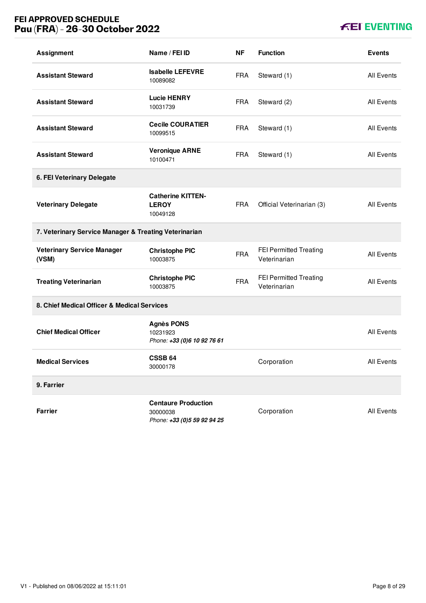# **FEI APPROVED SCHEDULE Pau (FRA) - 26-30 October 2022**

# **KEI EVENTING**

| <b>Assignment</b>                                     | Name / FEI ID                                                         | ΝF         | <b>Function</b>                               | <b>Events</b>     |
|-------------------------------------------------------|-----------------------------------------------------------------------|------------|-----------------------------------------------|-------------------|
| <b>Assistant Steward</b>                              | <b>Isabelle LEFEVRE</b><br>10089082                                   | <b>FRA</b> | Steward (1)                                   | <b>All Events</b> |
| <b>Assistant Steward</b>                              | <b>Lucie HENRY</b><br>10031739                                        | <b>FRA</b> | Steward (2)                                   | <b>All Events</b> |
| <b>Assistant Steward</b>                              | <b>Cecile COURATIER</b><br>10099515                                   | <b>FRA</b> | Steward (1)                                   | <b>All Events</b> |
| <b>Assistant Steward</b>                              | <b>Veronique ARNE</b><br>10100471                                     | <b>FRA</b> | Steward (1)                                   | All Events        |
| 6. FEI Veterinary Delegate                            |                                                                       |            |                                               |                   |
| <b>Veterinary Delegate</b>                            | <b>Catherine KITTEN-</b><br><b>LEROY</b><br>10049128                  | <b>FRA</b> | Official Veterinarian (3)                     | <b>All Events</b> |
| 7. Veterinary Service Manager & Treating Veterinarian |                                                                       |            |                                               |                   |
| <b>Veterinary Service Manager</b><br>(VSM)            | <b>Christophe PIC</b><br>10003875                                     | <b>FRA</b> | <b>FEI Permitted Treating</b><br>Veterinarian | <b>All Events</b> |
| <b>Treating Veterinarian</b>                          | <b>Christophe PIC</b><br>10003875                                     | <b>FRA</b> | FEI Permitted Treating<br>Veterinarian        | <b>All Events</b> |
| 8. Chief Medical Officer & Medical Services           |                                                                       |            |                                               |                   |
| <b>Chief Medical Officer</b>                          | <b>Agnès PONS</b><br>10231923<br>Phone: +33 (0)6 10 92 76 61          |            |                                               | <b>All Events</b> |
| <b>Medical Services</b>                               | <b>CSSB 64</b><br>30000178                                            |            | Corporation                                   | <b>All Events</b> |
| 9. Farrier                                            |                                                                       |            |                                               |                   |
| <b>Farrier</b>                                        | <b>Centaure Production</b><br>30000038<br>Phone: +33 (0)5 59 92 94 25 |            | Corporation                                   | All Events        |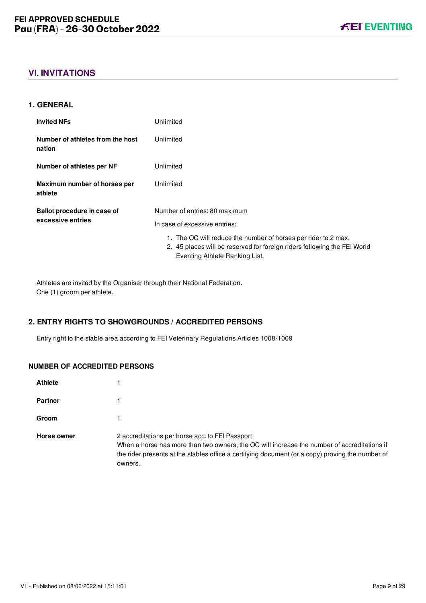

# <span id="page-9-0"></span>**VI. INVITATIONS**

#### <span id="page-9-1"></span>**1. GENERAL**

| <b>Invited NFs</b>                         | Unlimited                                                                                                                                                                    |
|--------------------------------------------|------------------------------------------------------------------------------------------------------------------------------------------------------------------------------|
| Number of athletes from the host<br>nation | Unlimited                                                                                                                                                                    |
| Number of athletes per NF                  | Unlimited                                                                                                                                                                    |
| Maximum number of horses per<br>athlete    | Unlimited                                                                                                                                                                    |
| Ballot procedure in case of                | Number of entries: 80 maximum                                                                                                                                                |
| excessive entries                          | In case of excessive entries:                                                                                                                                                |
|                                            | 1. The OC will reduce the number of horses per rider to 2 max.<br>2. 45 places will be reserved for foreign riders following the FEI World<br>Eventing Athlete Ranking List. |

Athletes are invited by the Organiser through their National Federation. One (1) groom per athlete.

## <span id="page-9-2"></span>**2. ENTRY RIGHTS TO SHOWGROUNDS / ACCREDITED PERSONS**

Entry right to the stable area according to FEI Veterinary Regulations Articles 1008-1009

## **NUMBER OF ACCREDITED PERSONS**

| <b>Athlete</b> |                                                                                                                                                                                                                                                               |
|----------------|---------------------------------------------------------------------------------------------------------------------------------------------------------------------------------------------------------------------------------------------------------------|
| <b>Partner</b> |                                                                                                                                                                                                                                                               |
| Groom          |                                                                                                                                                                                                                                                               |
| Horse owner    | 2 accreditations per horse acc. to FEI Passport<br>When a horse has more than two owners, the OC will increase the number of accreditations if<br>the rider presents at the stables office a certifying document (or a copy) proving the number of<br>owners. |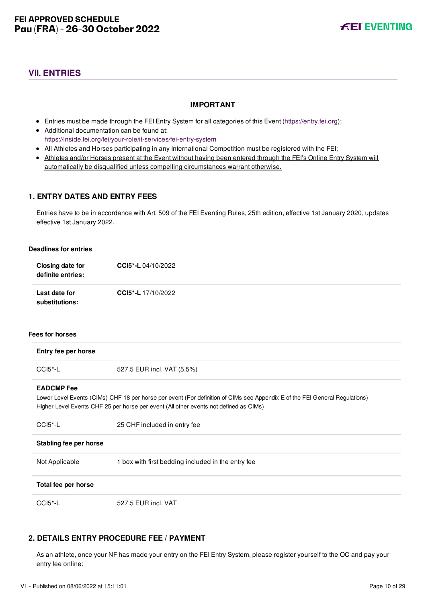# <span id="page-10-0"></span>**VII. ENTRIES**

## **IMPORTANT**

- Entries must be made through the FEI Entry System for all categories of this Event ([https://entry.fei.org\)](https://entry.fei.org);
- Additional documentation can be found at: <https://inside.fei.org/fei/your-role/it-services/fei-entry-system>
- All Athletes and Horses participating in any International Competition must be registered with the FEI;
- Athletes and/or Horses present at the Event without having been entered through the FEI's Online Entry System will automatically be disqualified unless compelling circumstances warrant otherwise.

# <span id="page-10-1"></span>**1. ENTRY DATES AND ENTRY FEES**

Entries have to be in accordance with Art. 509 of the FEI Eventing Rules, 25th edition, effective 1st January 2020, updates effective 1st January 2022.

#### **Deadlines for entries**

| Closing date for<br>definite entries: | CCI5*-L04/10/2022         |
|---------------------------------------|---------------------------|
| Last date for<br>substitutions:       | <b>CCI5*-L</b> 17/10/2022 |

#### **Fees for horses**

| Entry fee per horse    |                                                                                                                                                                                                                      |
|------------------------|----------------------------------------------------------------------------------------------------------------------------------------------------------------------------------------------------------------------|
| CCI5*-L                | 527.5 EUR incl. VAT (5.5%)                                                                                                                                                                                           |
| <b>EADCMP</b> Fee      | Lower Level Events (CIMs) CHF 18 per horse per event (For definition of CIMs see Appendix E of the FEI General Regulations)<br>Higher Level Events CHF 25 per horse per event (All other events not defined as CIMs) |
| $CCI5$ <sup>*</sup> -L | 25 CHF included in entry fee                                                                                                                                                                                         |
| Stabling fee per horse |                                                                                                                                                                                                                      |
| Not Applicable         | 1 box with first bedding included in the entry fee                                                                                                                                                                   |
| Total fee per horse    |                                                                                                                                                                                                                      |

CCI5\*-L 527.5 EUR incl. VAT

# <span id="page-10-2"></span>**2. DETAILS ENTRY PROCEDURE FEE / PAYMENT**

As an athlete, once your NF has made your entry on the FEI Entry System, please register yourself to the OC and pay your entry fee online: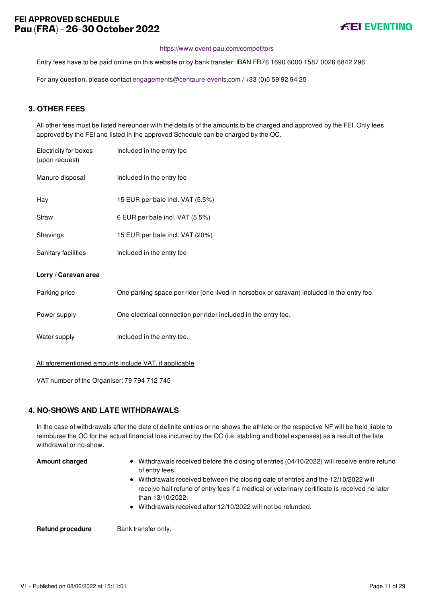#### <https://www.event-pau.com/competitors>

Entry fees have to be paid online on this website or by bank transfer: IBAN FR76 1690 6000 1587 0026 6842 296

For any question, please contact [engagements@centaure-events.com](mailto:engagements@centaure-events.com) / +33 (0)5 59 92 94 25

# <span id="page-11-0"></span>**3. OTHER FEES**

All other fees must be listed hereunder with the details of the amounts to be charged and approved by the FEI. Only fees approved by the FEI and listed in the approved Schedule can be charged by the OC.

| Electricity for boxes<br>(upon request) | Included in the entry fee                                                                 |
|-----------------------------------------|-------------------------------------------------------------------------------------------|
| Manure disposal                         | Included in the entry fee                                                                 |
| Hay                                     | 15 EUR per bale incl. VAT (5.5%)                                                          |
| Straw                                   | 6 EUR per bale incl. VAT (5.5%)                                                           |
| Shavings                                | 15 EUR per bale incl. VAT (20%)                                                           |
| Sanitary facilities                     | Included in the entry fee                                                                 |
| Lorry / Caravan area                    |                                                                                           |
| Parking price                           | One parking space per rider (one lived-in horsebox or caravan) included in the entry fee. |
| Power supply                            | One electrical connection per rider included in the entry fee.                            |
| Water supply                            | Included in the entry fee.                                                                |
|                                         | All aforementioned amounts include VAT, if applicable                                     |

VAT number of the Organiser: 79 794 712 745

#### <span id="page-11-1"></span>**4. NO-SHOWS AND LATE WITHDRAWALS**

In the case of withdrawals after the date of definite entries or no-shows the athlete or the respective NF will be held liable to reimburse the OC for the actual financial loss incurred by the OC (i.e. stabling and hotel expenses) as a result of the late withdrawal or no-show.

- **Amount charged** Withdrawals received before the closing of entries (04/10/2022) will receive entire refund of entry fees.
	- Withdrawals received between the closing date of entries and the 12/10/2022 will receive half refund of entry fees if a medical or veterinary certificate is received no later than 13/10/2022.
	- Withdrawals received after 12/10/2022 will not be refunded.

**Refund procedure** Bank transfer only.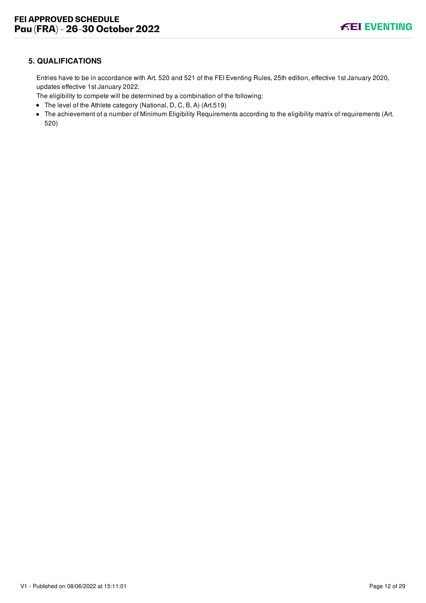# <span id="page-12-0"></span>**5. QUALIFICATIONS**

Entries have to be in accordance with Art. 520 and 521 of the FEI Eventing Rules, 25th edition, effective 1st January 2020, updates effective 1st January 2022.

The eligibility to compete will be determined by a combination of the following:

- The level of the Athlete category (National, D, C, B, A) (Art.519)
- The achievement of a number of Minimum Eligibility Requirements according to the eligibility matrix of requirements (Art. 520)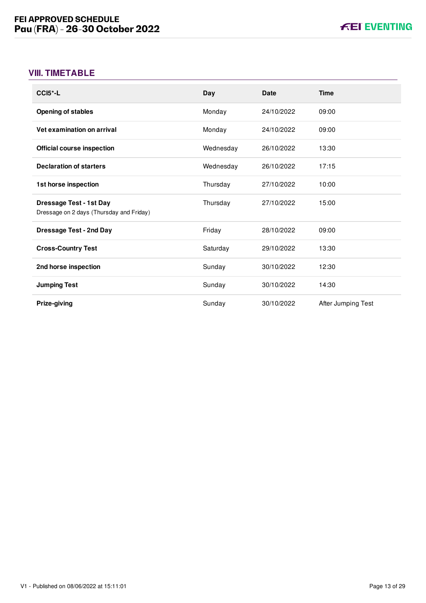# <span id="page-13-0"></span>**VIII. TIMETABLE**

| $CCI5$ <sup>*</sup> -L                                                     | Day       | Date       | <b>Time</b>        |
|----------------------------------------------------------------------------|-----------|------------|--------------------|
| <b>Opening of stables</b>                                                  | Monday    | 24/10/2022 | 09:00              |
| Vet examination on arrival                                                 | Monday    | 24/10/2022 | 09:00              |
| <b>Official course inspection</b>                                          | Wednesday | 26/10/2022 | 13:30              |
| <b>Declaration of starters</b>                                             | Wednesday | 26/10/2022 | 17:15              |
| 1st horse inspection                                                       | Thursday  | 27/10/2022 | 10:00              |
| <b>Dressage Test - 1st Day</b><br>Dressage on 2 days (Thursday and Friday) | Thursday  | 27/10/2022 | 15:00              |
| <b>Dressage Test - 2nd Day</b>                                             | Friday    | 28/10/2022 | 09:00              |
| <b>Cross-Country Test</b>                                                  | Saturday  | 29/10/2022 | 13:30              |
| 2nd horse inspection                                                       | Sunday    | 30/10/2022 | 12:30              |
| <b>Jumping Test</b>                                                        | Sunday    | 30/10/2022 | 14:30              |
| Prize-giving                                                               | Sunday    | 30/10/2022 | After Jumping Test |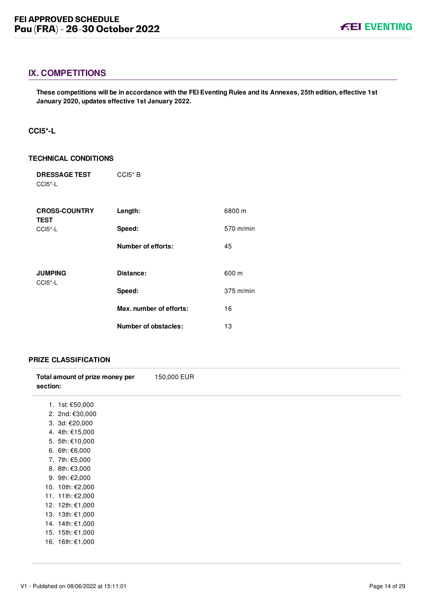# <span id="page-14-0"></span>**IX. COMPETITIONS**

**These competitions will be in accordance with the FEI Eventing Rules and its Annexes, 25th edition, effective 1st January 2020, updates effective 1st January 2022.**

## <span id="page-14-1"></span>**CCI5\*-L**

#### **TECHNICAL CONDITIONS**

| <b>DRESSAGE TEST</b><br>CCI5*-L     | CCI5*B                  |                     |
|-------------------------------------|-------------------------|---------------------|
| <b>CROSS-COUNTRY</b><br><b>TEST</b> | Length:                 | 6800 m              |
| CCI5*-L                             | Speed:                  | 570 m/min           |
|                                     | Number of efforts:      | 45                  |
| <b>JUMPING</b>                      | Distance:               | 600 m               |
| $CCI5$ <sup>*</sup> -L              | Speed:                  | $375 \text{ m/min}$ |
|                                     | Max. number of efforts: | 16                  |
|                                     | Number of obstacles:    | 13                  |

#### **PRIZE CLASSIFICATION**

| Total amount of prize money per<br>section: | 150,000 EUR |
|---------------------------------------------|-------------|
| 1. 1st: €50,000                             |             |
| 2. 2nd: €30,000                             |             |
| 3. 3d: €20,000                              |             |
| 4. 4th: €15,000                             |             |
| 5. 5th: €10,000                             |             |
| 6. 6th: €6,000                              |             |
| 7. 7th: €5,000                              |             |
| 8. 8th: €3,000                              |             |
| 9. 9th: €2,000                              |             |
| 10. 10th: €2,000                            |             |
| 11. 11th: €2,000                            |             |
| 12. 12th: €1,000                            |             |
| 13. 13th: €1,000                            |             |
| 14. 14th: €1,000                            |             |
| 15. 15th: €1,000                            |             |
| 16. 16th: €1,000                            |             |
|                                             |             |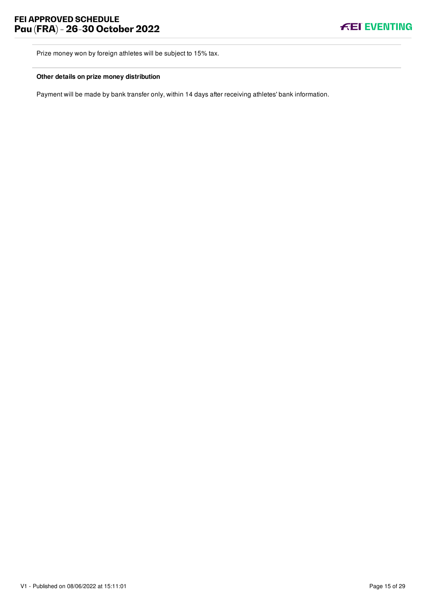

Prize money won by foreign athletes will be subject to 15% tax.

#### **Other details on prize money distribution**

Payment will be made by bank transfer only, within 14 days after receiving athletes' bank information.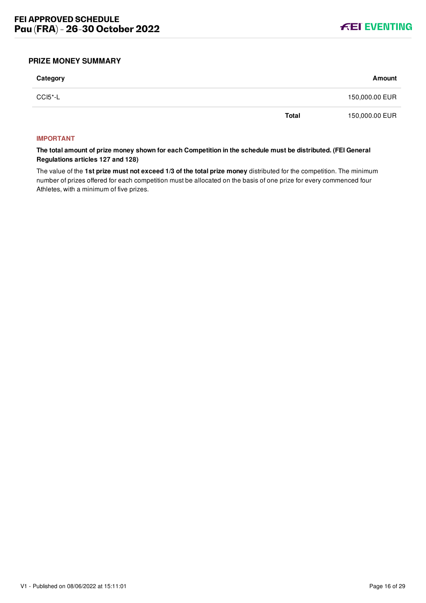

### <span id="page-16-0"></span>**PRIZE MONEY SUMMARY**

| Category | Amount                         |  |
|----------|--------------------------------|--|
| CCI5*-L  | 150,000.00 EUR                 |  |
|          | <b>Total</b><br>150,000.00 EUR |  |

#### **IMPORTANT**

**The total amount of prize money shown for each Competition in the schedule must be distributed. (FEI General Regulations articles 127 and 128)**

The value of the **1st prize must not exceed 1/3 of the total prize money** distributed for the competition. The minimum number of prizes offered for each competition must be allocated on the basis of one prize for every commenced four Athletes, with a minimum of five prizes.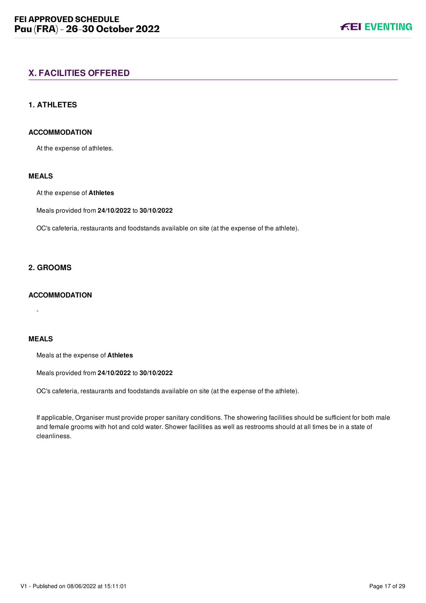# <span id="page-17-0"></span>**X. FACILITIES OFFERED**

## <span id="page-17-1"></span>**1. ATHLETES**

#### **ACCOMMODATION**

At the expense of athletes.

# **MEALS**

At the expense of **Athletes**

Meals provided from **24/10/2022** to **30/10/2022**

OC's cafeteria, restaurants and foodstands available on site (at the expense of the athlete).

#### <span id="page-17-2"></span>**2. GROOMS**

# **ACCOMMODATION**

-

# **MEALS**

Meals at the expense of **Athletes**

Meals provided from **24/10/2022** to **30/10/2022**

OC's cafeteria, restaurants and foodstands available on site (at the expense of the athlete).

If applicable, Organiser must provide proper sanitary conditions. The showering facilities should be sufficient for both male and female grooms with hot and cold water. Shower facilities as well as restrooms should at all times be in a state of cleanliness.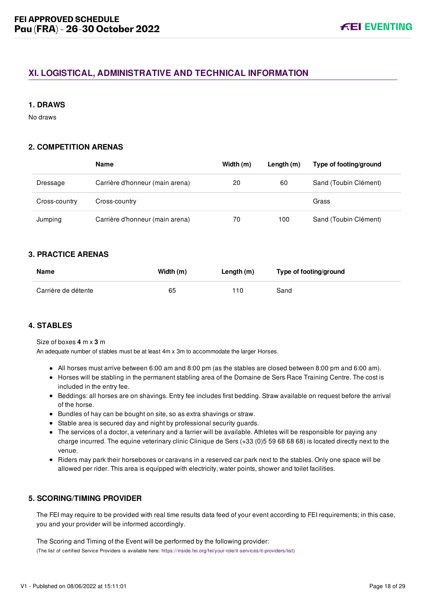# <span id="page-18-0"></span>**XI. LOGISTICAL, ADMINISTRATIVE AND TECHNICAL INFORMATION**

#### <span id="page-18-1"></span>**1. DRAWS**

No draws

# <span id="page-18-2"></span>**2. COMPETITION ARENAS**

|               | Name                            | Width $(m)$ | Length $(m)$ | Type of footing/ground |
|---------------|---------------------------------|-------------|--------------|------------------------|
| Dressage      | Carrière d'honneur (main arena) | 20          | 60           | Sand (Toubin Clément)  |
| Cross-country | Cross-country                   |             |              | Grass                  |
| Jumping       | Carrière d'honneur (main arena) | 70          | 100          | Sand (Toubin Clément)  |

## <span id="page-18-3"></span>**3. PRACTICE ARENAS**

| Name                | Width (m) | Length (m) | Type of footing/ground |
|---------------------|-----------|------------|------------------------|
| Carrière de détente | 65        | 110        | Sand                   |

# <span id="page-18-4"></span>**4. STABLES**

#### Size of boxes **4** m x **3** m

An adequate number of stables must be at least 4m x 3m to accommodate the larger Horses.

- All horses must arrive between 6:00 am and 8:00 pm (as the stables are closed between 8:00 pm and 6:00 am).
- Horses will be stabling in the permanent stabling area of the Domaine de Sers Race Training Centre. The cost is included in the entry fee.
- Beddings: all horses are on shavings. Entry fee includes first bedding. Straw available on request before the arrival of the horse.
- Bundles of hay can be bought on site, so as extra shavings or straw.
- Stable area is secured day and night by professional security guards.
- The services of a doctor, a veterinary and a farrier will be available. Athletes will be responsible for paying any charge incurred. The equine veterinary clinic Clinique de Sers (+33 (0)5 59 68 68 68) is located directly next to the venue.
- Riders may park their horseboxes or caravans in a reserved car park next to the stables. Only one space will be allowed per rider. This area is equipped with electricity, water points, shower and toilet facilities.

#### <span id="page-18-5"></span>**5. SCORING/TIMING PROVIDER**

The FEI may require to be provided with real time results data feed of your event according to FEI requirements; in this case, you and your provider will be informed accordingly.

The Scoring and Timing of the Event will be performed by the following provider: (The list of certified Service Providers is available here: [https://inside.fei.org/fei/your-role/it-services/it-providers/list\)](https://inside.fei.org/fei/your-role/it-services/it-providers/list)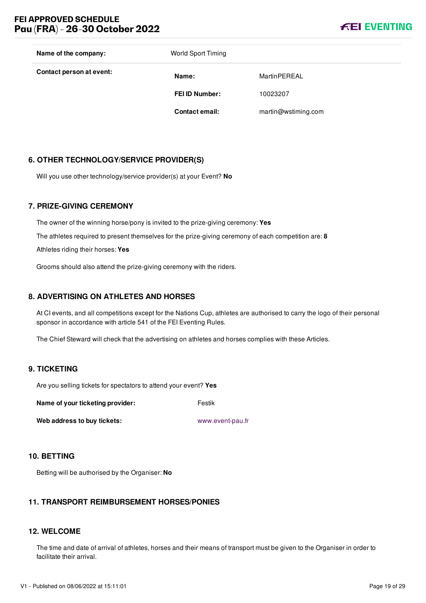# **FEI APPROVED SCHEDULE Pau (FRA) - 26-30 October 2022**



| Name of the company:     | <b>World Sport Timing</b> |                     |
|--------------------------|---------------------------|---------------------|
| Contact person at event: | Name:                     | MartinPEREAL        |
|                          | <b>FEI ID Number:</b>     | 10023207            |
|                          | <b>Contact email:</b>     | martin@wstiming.com |
|                          |                           |                     |

### <span id="page-19-0"></span>**6. OTHER TECHNOLOGY/SERVICE PROVIDER(S)**

Will you use other technology/service provider(s) at your Event? **No**

#### <span id="page-19-1"></span>**7. PRIZE-GIVING CEREMONY**

The owner of the winning horse/pony is invited to the prize-giving ceremony: **Yes** The athletes required to present themselves for the prize-giving ceremony of each competition are: **8** Athletes riding their horses: **Yes**

Grooms should also attend the prize-giving ceremony with the riders.

#### <span id="page-19-2"></span>**8. ADVERTISING ON ATHLETES AND HORSES**

At CI events, and all competitions except for the Nations Cup, athletes are authorised to carry the logo of their personal sponsor in accordance with article 541 of the FEI Eventing Rules.

The Chief Steward will check that the advertising on athletes and horses complies with these Articles.

#### <span id="page-19-3"></span>**9. TICKETING**

Are you selling tickets for spectators to attend your event? **Yes**

**Name of your ticketing provider:** Festik

**Web address to buy tickets:** [www.event-pau.fr](file:///home/deployer/api-schedules/production/releases/48/symfony/public/www.event-pau.fr)

#### <span id="page-19-4"></span>**10. BETTING**

Betting will be authorised by the Organiser: **No**

## <span id="page-19-5"></span>**11. TRANSPORT REIMBURSEMENT HORSES/PONIES**

#### <span id="page-19-6"></span>**12. WELCOME**

The time and date of arrival of athletes, horses and their means of transport must be given to the Organiser in order to facilitate their arrival.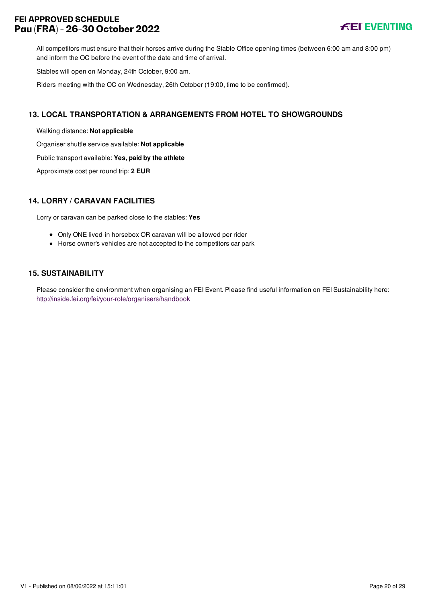# **FEI APPROVED SCHEDULE Pau (FRA) - 26-30 October 2022**



All competitors must ensure that their horses arrive during the Stable Office opening times (between 6:00 am and 8:00 pm) and inform the OC before the event of the date and time of arrival.

Stables will open on Monday, 24th October, 9:00 am.

Riders meeting with the OC on Wednesday, 26th October (19:00, time to be confirmed).

## <span id="page-20-0"></span>**13. LOCAL TRANSPORTATION & ARRANGEMENTS FROM HOTEL TO SHOWGROUNDS**

Walking distance: **Not applicable**

Organiser shuttle service available: **Not applicable**

Public transport available: **Yes, paid by the athlete**

Approximate cost per round trip: **2 EUR**

## <span id="page-20-1"></span>**14. LORRY / CARAVAN FACILITIES**

Lorry or caravan can be parked close to the stables: **Yes**

- Only ONE lived-in horsebox OR caravan will be allowed per rider
- Horse owner's vehicles are not accepted to the competitors car park

# <span id="page-20-2"></span>**15. SUSTAINABILITY**

Please consider the environment when organising an FEI Event. Please find useful information on FEI Sustainability here: <http://inside.fei.org/fei/your-role/organisers/handbook>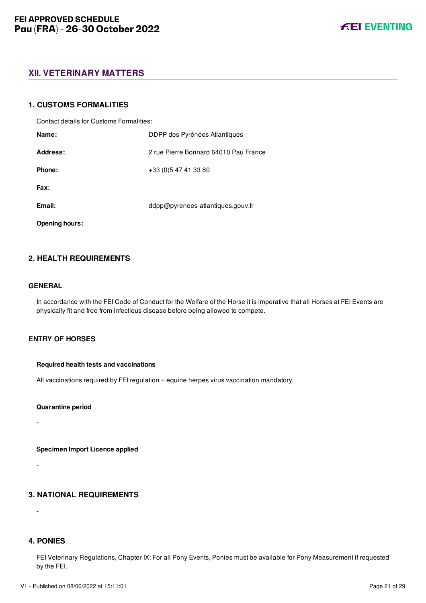# <span id="page-21-0"></span>**XII. VETERINARY MATTERS**

#### <span id="page-21-1"></span>**1. CUSTOMS FORMALITIES**

Contact details for Customs Formalities:

| Name:                 | DDPP des Pyrénées Atlantiques         |
|-----------------------|---------------------------------------|
| Address:              | 2 rue Pierre Bonnard 64010 Pau France |
| Phone:                | +33 (0) 547 41 33 80                  |
| Fax:                  |                                       |
| Email:                | ddpp@pyrenees-atlantiques.gouv.fr     |
| <b>Opening hours:</b> |                                       |

# <span id="page-21-2"></span>**2. HEALTH REQUIREMENTS**

#### **GENERAL**

In accordance with the FEI Code of Conduct for the Welfare of the Horse it is imperative that all Horses at FEI Events are physically fit and free from infectious disease before being allowed to compete.

#### **ENTRY OF HORSES**

#### **Required health tests and vaccinations**

All vaccinations required by FEI regulation + equine herpes virus vaccination mandatory.

**Quarantine period**

-

-

-

**Specimen Import Licence applied**

# <span id="page-21-3"></span>**3. NATIONAL REQUIREMENTS**

<span id="page-21-4"></span>**4. PONIES**

FEI Veterinary Regulations, Chapter IX: For all Pony Events, Ponies must be available for Pony Measurement if requested by the FEI.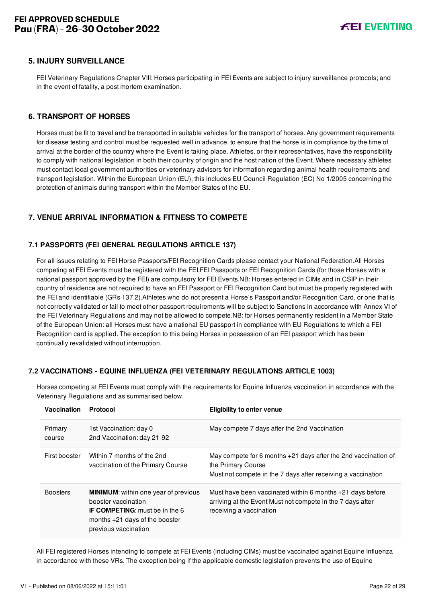# <span id="page-22-0"></span>**5. INJURY SURVEILLANCE**

FEI Veterinary Regulations Chapter VIII: Horses participating in FEI Events are subject to injury surveillance protocols; and in the event of fatality, a post mortem examination.

#### <span id="page-22-1"></span>**6. TRANSPORT OF HORSES**

Horses must be fit to travel and be transported in suitable vehicles for the transport of horses. Any government requirements for disease testing and control must be requested well in advance, to ensure that the horse is in compliance by the time of arrival at the border of the country where the Event is taking place. Athletes, or their representatives, have the responsibility to comply with national legislation in both their country of origin and the host nation of the Event. Where necessary athletes must contact local government authorities or veterinary advisors for information regarding animal health requirements and transport legislation. Within the European Union (EU), this includes EU Council Regulation (EC) No 1/2005 concerning the protection of animals during transport within the Member States of the EU.

# <span id="page-22-2"></span>**7. VENUE ARRIVAL INFORMATION & FITNESS TO COMPETE**

#### <span id="page-22-3"></span>**7.1 PASSPORTS (FEI GENERAL REGULATIONS ARTICLE 137)**

For all issues relating to FEI Horse Passports/FEI Recognition Cards please contact your National Federation.All Horses competing at FEI Events must be registered with the FEI.FEI Passports or FEI Recognition Cards (for those Horses with a national passport approved by the FEI) are compulsory for FEI Events.NB: Horses entered in CIMs and in CSIP in their country of residence are not required to have an FEI Passport or FEI Recognition Card but must be properly registered with the FEI and identifiable (GRs 137.2).Athletes who do not present a Horse's Passport and/or Recognition Card, or one that is not correctly validated or fail to meet other passport requirements will be subject to Sanctions in accordance with Annex VI of the FEI Veterinary Regulations and may not be allowed to compete.NB: for Horses permanently resident in a Member State of the European Union: all Horses must have a national EU passport in compliance with EU Regulations to which a FEI Recognition card is applied. The exception to this being Horses in possession of an FEI passport which has been continually revalidated without interruption.

#### <span id="page-22-4"></span>**7.2 VACCINATIONS - EQUINE INFLUENZA (FEI VETERINARY REGULATIONS ARTICLE 1003)**

| <b>Vaccination</b> | Protocol                                                                                                                                                                | <b>Eligibility to enter venue</b>                                                                                                                      |
|--------------------|-------------------------------------------------------------------------------------------------------------------------------------------------------------------------|--------------------------------------------------------------------------------------------------------------------------------------------------------|
| Primary<br>course  | 1st Vaccination: day 0<br>2nd Vaccination: day 21-92                                                                                                                    | May compete 7 days after the 2nd Vaccination                                                                                                           |
| First booster      | Within 7 months of the 2nd<br>vaccination of the Primary Course                                                                                                         | May compete for 6 months $+21$ days after the 2nd vaccination of<br>the Primary Course<br>Must not compete in the 7 days after receiving a vaccination |
| <b>Boosters</b>    | <b>MINIMUM:</b> within one year of previous<br>booster vaccination<br><b>IF COMPETING:</b> must be in the 6<br>months $+21$ days of the booster<br>previous vaccination | Must have been vaccinated within 6 months $+21$ days before<br>arriving at the Event Must not compete in the 7 days after<br>receiving a vaccination   |

Horses competing at FEI Events must comply with the requirements for Equine Influenza vaccination in accordance with the Veterinary Regulations and as summarised below.

All FEI registered Horses intending to compete at FEI Events (including CIMs) must be vaccinated against Equine Influenza in accordance with these VRs. The exception being if the applicable domestic legislation prevents the use of Equine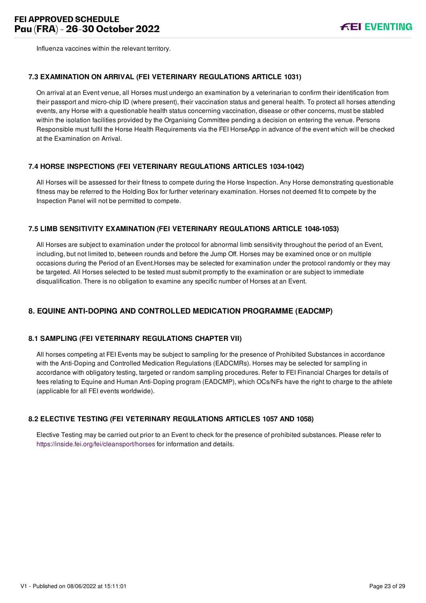

Influenza vaccines within the relevant territory.

#### <span id="page-23-0"></span>**7.3 EXAMINATION ON ARRIVAL (FEI VETERINARY REGULATIONS ARTICLE 1031)**

On arrival at an Event venue, all Horses must undergo an examination by a veterinarian to confirm their identification from their passport and micro-chip ID (where present), their vaccination status and general health. To protect all horses attending events, any Horse with a questionable health status concerning vaccination, disease or other concerns, must be stabled within the isolation facilities provided by the Organising Committee pending a decision on entering the venue. Persons Responsible must fulfil the Horse Health Requirements via the FEI HorseApp in advance of the event which will be checked at the Examination on Arrival.

#### <span id="page-23-1"></span>**7.4 HORSE INSPECTIONS (FEI VETERINARY REGULATIONS ARTICLES 1034-1042)**

All Horses will be assessed for their fitness to compete during the Horse Inspection. Any Horse demonstrating questionable fitness may be referred to the Holding Box for further veterinary examination. Horses not deemed fit to compete by the Inspection Panel will not be permitted to compete.

#### <span id="page-23-2"></span>**7.5 LIMB SENSITIVITY EXAMINATION (FEI VETERINARY REGULATIONS ARTICLE 1048-1053)**

All Horses are subject to examination under the protocol for abnormal limb sensitivity throughout the period of an Event, including, but not limited to, between rounds and before the Jump Off. Horses may be examined once or on multiple occasions during the Period of an Event.Horses may be selected for examination under the protocol randomly or they may be targeted. All Horses selected to be tested must submit promptly to the examination or are subject to immediate disqualification. There is no obligation to examine any specific number of Horses at an Event.

# <span id="page-23-3"></span>**8. EQUINE ANTI-DOPING AND CONTROLLED MEDICATION PROGRAMME (EADCMP)**

#### <span id="page-23-4"></span>**8.1 SAMPLING (FEI VETERINARY REGULATIONS CHAPTER VII)**

All horses competing at FEI Events may be subject to sampling for the presence of Prohibited Substances in accordance with the Anti-Doping and Controlled Medication Regulations (EADCMRs). Horses may be selected for sampling in accordance with obligatory testing, targeted or random sampling procedures. Refer to FEI Financial Charges for details of fees relating to Equine and Human Anti-Doping program (EADCMP), which OCs/NFs have the right to charge to the athlete (applicable for all FEI events worldwide).

#### <span id="page-23-5"></span>**8.2 ELECTIVE TESTING (FEI VETERINARY REGULATIONS ARTICLES 1057 AND 1058)**

Elective Testing may be carried out prior to an Event to check for the presence of prohibited substances. Please refer to <https://inside.fei.org/fei/cleansport/horses>for information and details.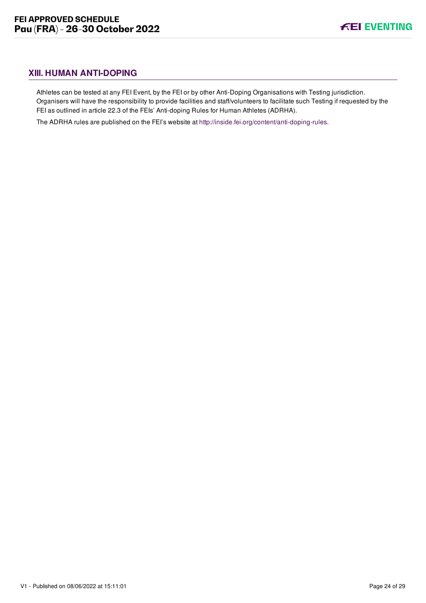# <span id="page-24-0"></span>**XIII. HUMAN ANTI-DOPING**

Athletes can be tested at any FEI Event, by the FEI or by other Anti-Doping Organisations with Testing jurisdiction. Organisers will have the responsibility to provide facilities and staff/volunteers to facilitate such Testing if requested by the FEI as outlined in article 22.3 of the FEIs' Anti-doping Rules for Human Athletes (ADRHA).

The ADRHA rules are published on the FEI's website at [http://inside.fei.org/content/anti-doping-rules.](http://inside.fei.org/content/anti-doping-rules)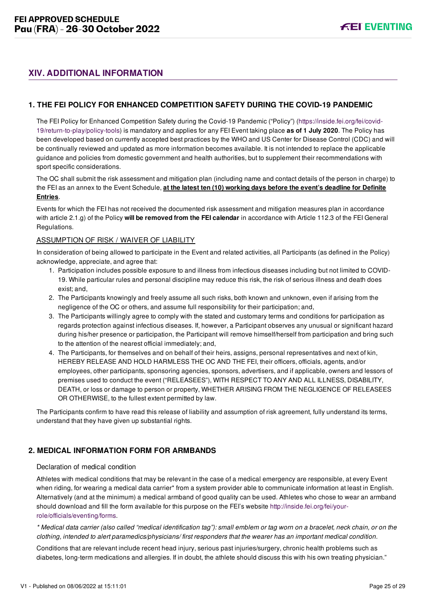# <span id="page-25-0"></span>**XIV. ADDITIONAL INFORMATION**

# <span id="page-25-1"></span>**1. THE FEI POLICY FOR ENHANCED COMPETITION SAFETY DURING THE COVID-19 PANDEMIC**

[The FEI Policy for Enhanced Competition Safety during the Covid-19 Pandemic \("Policy"\) \(https://inside.fei.org/fei/covid-](https://inside.fei.org/fei/covid-19/return-to-play/policy-tools)19/return-to-play/policy-tools) is mandatory and applies for any FEI Event taking place **as of 1 July 2020**. The Policy has been developed based on currently accepted best practices by the WHO and US Center for Disease Control (CDC) and will be continually reviewed and updated as more information becomes available. It is not intended to replace the applicable guidance and policies from domestic government and health authorities, but to supplement their recommendations with sport specific considerations.

The OC shall submit the risk assessment and mitigation plan (including name and contact details of the person in charge) to the FEI as an annex to the Event Schedule, **at the latest ten (10) working days before the event's deadline for Definite Entries**.

Events for which the FEI has not received the documented risk assessment and mitigation measures plan in accordance with article 2.1.g) of the Policy **will be removed from the FEI calendar** in accordance with Article 112.3 of the FEI General Regulations.

#### ASSUMPTION OF RISK / WAIVER OF LIABILITY

In consideration of being allowed to participate in the Event and related activities, all Participants (as defined in the Policy) acknowledge, appreciate, and agree that:

- 1. Participation includes possible exposure to and illness from infectious diseases including but not limited to COVID-19. While particular rules and personal discipline may reduce this risk, the risk of serious illness and death does exist; and,
- 2. The Participants knowingly and freely assume all such risks, both known and unknown, even if arising from the negligence of the OC or others, and assume full responsibility for their participation; and,
- 3. The Participants willingly agree to comply with the stated and customary terms and conditions for participation as regards protection against infectious diseases. If, however, a Participant observes any unusual or significant hazard during his/her presence or participation, the Participant will remove himself/herself from participation and bring such to the attention of the nearest official immediately; and,
- 4. The Participants, for themselves and on behalf of their heirs, assigns, personal representatives and next of kin, HEREBY RELEASE AND HOLD HARMLESS THE OC AND THE FEI, their officers, officials, agents, and/or employees, other participants, sponsoring agencies, sponsors, advertisers, and if applicable, owners and lessors of premises used to conduct the event ("RELEASEES"), WITH RESPECT TO ANY AND ALL ILLNESS, DISABILITY, DEATH, or loss or damage to person or property, WHETHER ARISING FROM THE NEGLIGENCE OF RELEASEES OR OTHERWISE, to the fullest extent permitted by law.

The Participants confirm to have read this release of liability and assumption of risk agreement, fully understand its terms, understand that they have given up substantial rights.

# <span id="page-25-2"></span>**2. MEDICAL INFORMATION FORM FOR ARMBANDS**

#### Declaration of medical condition

Athletes with medical conditions that may be relevant in the case of a medical emergency are responsible, at every Event when riding, for wearing a medical data carrier\* from a system provider able to communicate information at least in English. Alternatively (and at the minimum) a medical armband of good quality can be used. Athletes who chose to wear an armband [should download and fill the form available for this purpose on the FEI's website http://inside.fei.org/fei/your](http://inside.fei.org/fei/your-role/officials/eventing/forms)role/officials/eventing/forms.

*\* Medical data carrier (also called "medical identification tag"): small emblem or tag worn on a bracelet, neck chain, or on the clothing, intended to alert paramedics/physicians/ first responders that the wearer has an important medical condition.*

Conditions that are relevant include recent head injury, serious past injuries/surgery, chronic health problems such as diabetes, long-term medications and allergies. If in doubt, the athlete should discuss this with his own treating physician."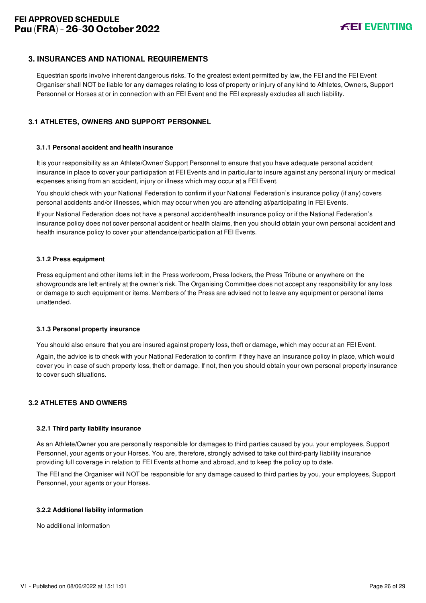# <span id="page-26-0"></span>**3. INSURANCES AND NATIONAL REQUIREMENTS**

Equestrian sports involve inherent dangerous risks. To the greatest extent permitted by law, the FEI and the FEI Event Organiser shall NOT be liable for any damages relating to loss of property or injury of any kind to Athletes, Owners, Support Personnel or Horses at or in connection with an FEI Event and the FEI expressly excludes all such liability.

## <span id="page-26-1"></span>**3.1 ATHLETES, OWNERS AND SUPPORT PERSONNEL**

#### **3.1.1 Personal accident and health insurance**

It is your responsibility as an Athlete/Owner/ Support Personnel to ensure that you have adequate personal accident insurance in place to cover your participation at FEI Events and in particular to insure against any personal injury or medical expenses arising from an accident, injury or illness which may occur at a FEI Event.

You should check with your National Federation to confirm if your National Federation's insurance policy (if any) covers personal accidents and/or illnesses, which may occur when you are attending at/participating in FEI Events.

If your National Federation does not have a personal accident/health insurance policy or if the National Federation's insurance policy does not cover personal accident or health claims, then you should obtain your own personal accident and health insurance policy to cover your attendance/participation at FEI Events.

#### **3.1.2 Press equipment**

Press equipment and other items left in the Press workroom, Press lockers, the Press Tribune or anywhere on the showgrounds are left entirely at the owner's risk. The Organising Committee does not accept any responsibility for any loss or damage to such equipment or items. Members of the Press are advised not to leave any equipment or personal items unattended.

#### **3.1.3 Personal property insurance**

You should also ensure that you are insured against property loss, theft or damage, which may occur at an FEI Event.

Again, the advice is to check with your National Federation to confirm if they have an insurance policy in place, which would cover you in case of such property loss, theft or damage. If not, then you should obtain your own personal property insurance to cover such situations.

#### <span id="page-26-2"></span>**3.2 ATHLETES AND OWNERS**

#### **3.2.1 Third party liability insurance**

As an Athlete/Owner you are personally responsible for damages to third parties caused by you, your employees, Support Personnel, your agents or your Horses. You are, therefore, strongly advised to take out third-party liability insurance providing full coverage in relation to FEI Events at home and abroad, and to keep the policy up to date.

The FEI and the Organiser will NOT be responsible for any damage caused to third parties by you, your employees, Support Personnel, your agents or your Horses.

#### **3.2.2 Additional liability information**

No additional information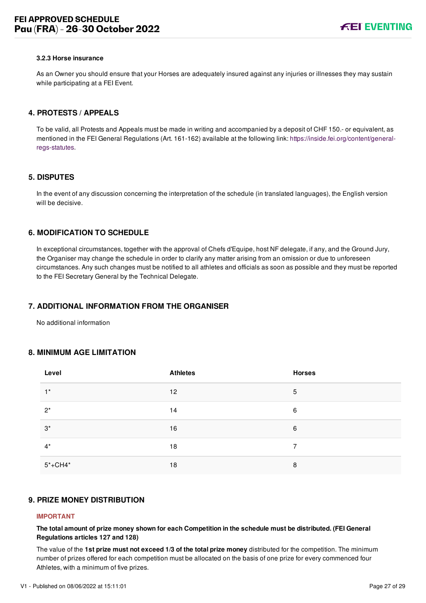#### **3.2.3 Horse insurance**

As an Owner you should ensure that your Horses are adequately insured against any injuries or illnesses they may sustain while participating at a FEI Event.

#### <span id="page-27-0"></span>**4. PROTESTS / APPEALS**

To be valid, all Protests and Appeals must be made in writing and accompanied by a deposit of CHF 150.- or equivalent, as [mentioned in the FEI General Regulations \(Art. 161-162\) available at the following link: https://inside.fei.org/content/general](https://inside.fei.org/content/general-regs-statutes)regs-statutes.

#### <span id="page-27-1"></span>**5. DISPUTES**

In the event of any discussion concerning the interpretation of the schedule (in translated languages), the English version will be decisive.

# <span id="page-27-2"></span>**6. MODIFICATION TO SCHEDULE**

In exceptional circumstances, together with the approval of Chefs d'Equipe, host NF delegate, if any, and the Ground Jury, the Organiser may change the schedule in order to clarify any matter arising from an omission or due to unforeseen circumstances. Any such changes must be notified to all athletes and officials as soon as possible and they must be reported to the FEI Secretary General by the Technical Delegate.

#### <span id="page-27-3"></span>**7. ADDITIONAL INFORMATION FROM THE ORGANISER**

No additional information

#### <span id="page-27-4"></span>**8. MINIMUM AGE LIMITATION**

| Level       | <b>Athletes</b> | <b>Horses</b> |
|-------------|-----------------|---------------|
| $1^*$       | 12              | 5             |
| $2^*$       | 14              | 6             |
| $3^*$       | 16              | 6             |
| $4^*$       | 18              | 7             |
| $5* + CH4*$ | 18              | 8             |

## <span id="page-27-5"></span>**9. PRIZE MONEY DISTRIBUTION**

#### **IMPORTANT**

**The total amount of prize money shown for each Competition in the schedule must be distributed. (FEI General Regulations articles 127 and 128)**

The value of the **1st prize must not exceed 1/3 of the total prize money** distributed for the competition. The minimum number of prizes offered for each competition must be allocated on the basis of one prize for every commenced four Athletes, with a minimum of five prizes.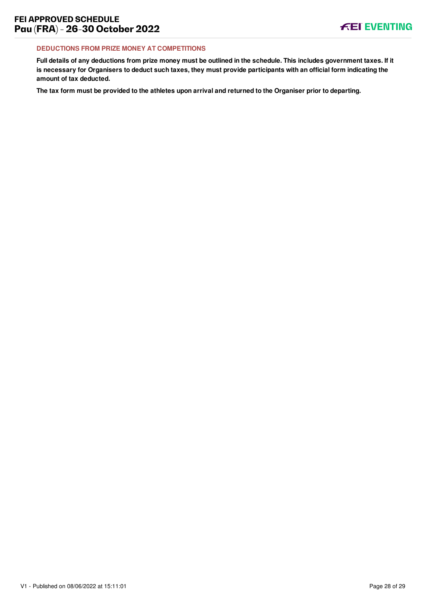#### **DEDUCTIONS FROM PRIZE MONEY AT COMPETITIONS**

**Full details of any deductions from prize money must be outlined in the schedule. This includes government taxes. If it is necessary for Organisers to deduct such taxes, they must provide participants with an official form indicating the amount of tax deducted.**

**The tax form must be provided to the athletes upon arrival and returned to the Organiser prior to departing.**